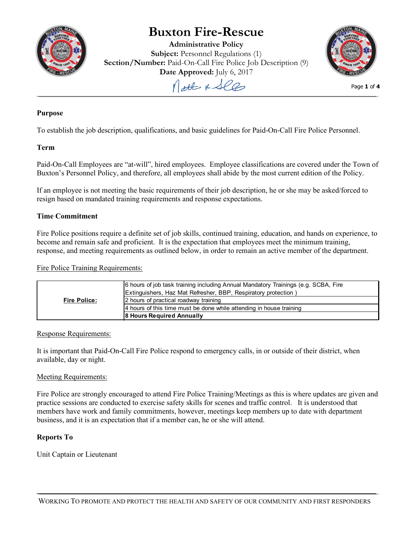

# **Buxton Fire-Rescue**

**Administrative Policy Subject:** Personnel Regulations (1) **Section/Number:** Paid-On-Call Fire Police Job Description (9)





Page **1** of **4**

## **Purpose**

To establish the job description, qualifications, and basic guidelines for Paid-On-Call Fire Police Personnel.

## **Term**

Paid-On-Call Employees are "at-will", hired employees. Employee classifications are covered under the Town of Buxton's Personnel Policy, and therefore, all employees shall abide by the most current edition of the Policy.

If an employee is not meeting the basic requirements of their job description, he or she may be asked/forced to resign based on mandated training requirements and response expectations.

## **Time Commitment**

Fire Police positions require a definite set of job skills, continued training, education, and hands on experience, to become and remain safe and proficient. It is the expectation that employees meet the minimum training, response, and meeting requirements as outlined below, in order to remain an active member of the department.

Fire Police Training Requirements:

|                     | 6 hours of job task training including Annual Mandatory Trainings (e.g. SCBA, Fire<br>Extinguishers, Haz Mat Refresher, BBP, Respiratory protection) |
|---------------------|------------------------------------------------------------------------------------------------------------------------------------------------------|
| <b>Fire Police:</b> | 2 hours of practical roadway training                                                                                                                |
|                     | 4 hours of this time must be done while attending in house training                                                                                  |
|                     | <b>8 Hours Required Annually</b>                                                                                                                     |

#### Response Requirements:

It is important that Paid-On-Call Fire Police respond to emergency calls, in or outside of their district, when available, day or night.

#### Meeting Requirements:

Fire Police are strongly encouraged to attend Fire Police Training/Meetings as this is where updates are given and practice sessions are conducted to exercise safety skills for scenes and traffic control. It is understood that members have work and family commitments, however, meetings keep members up to date with department business, and it is an expectation that if a member can, he or she will attend.

## **Reports To**

Unit Captain or Lieutenant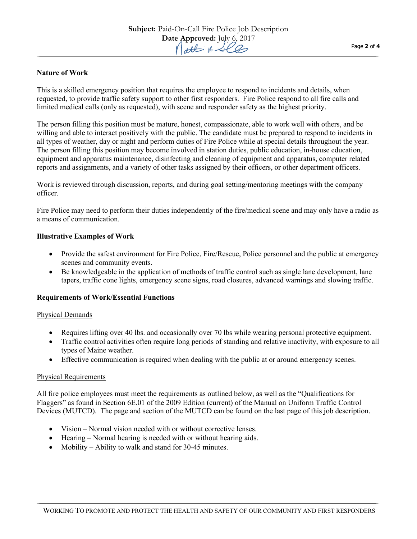## **Nature of Work**

This is a skilled emergency position that requires the employee to respond to incidents and details, when requested, to provide traffic safety support to other first responders. Fire Police respond to all fire calls and limited medical calls (only as requested), with scene and responder safety as the highest priority.

The person filling this position must be mature, honest, compassionate, able to work well with others, and be willing and able to interact positively with the public. The candidate must be prepared to respond to incidents in all types of weather, day or night and perform duties of Fire Police while at special details throughout the year. The person filling this position may become involved in station duties, public education, in-house education, equipment and apparatus maintenance, disinfecting and cleaning of equipment and apparatus, computer related reports and assignments, and a variety of other tasks assigned by their officers, or other department officers.

Work is reviewed through discussion, reports, and during goal setting/mentoring meetings with the company officer.

Fire Police may need to perform their duties independently of the fire/medical scene and may only have a radio as a means of communication.

#### **Illustrative Examples of Work**

- Provide the safest environment for Fire Police, Fire/Rescue, Police personnel and the public at emergency scenes and community events.
- Be knowledgeable in the application of methods of traffic control such as single lane development, lane tapers, traffic cone lights, emergency scene signs, road closures, advanced warnings and slowing traffic.

#### **Requirements of Work/Essential Functions**

#### Physical Demands

- Requires lifting over 40 lbs. and occasionally over 70 lbs while wearing personal protective equipment.
- Traffic control activities often require long periods of standing and relative inactivity, with exposure to all types of Maine weather.
- Effective communication is required when dealing with the public at or around emergency scenes.

#### Physical Requirements

All fire police employees must meet the requirements as outlined below, as well as the "Qualifications for Flaggers" as found in Section 6E.01 of the 2009 Edition (current) of the Manual on Uniform Traffic Control Devices (MUTCD). The page and section of the MUTCD can be found on the last page of this job description.

- Vision Normal vision needed with or without corrective lenses.
- Hearing Normal hearing is needed with or without hearing aids.
- Mobility Ability to walk and stand for 30-45 minutes.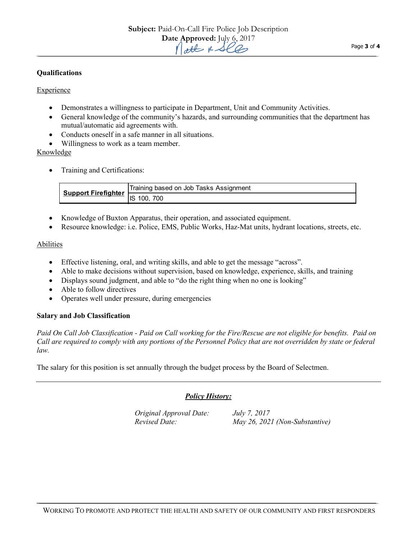## **Qualifications**

## **Experience**

- Demonstrates a willingness to participate in Department, Unit and Community Activities.
- General knowledge of the community's hazards, and surrounding communities that the department has mutual/automatic aid agreements with.
- Conducts oneself in a safe manner in all situations.
- Willingness to work as a team member.

Knowledge

• Training and Certifications:

| Support Firefighter | Training based on Job Tasks Assignment |
|---------------------|----------------------------------------|
|                     | 100. 700<br>ılS.                       |

- Knowledge of Buxton Apparatus, their operation, and associated equipment.
- Resource knowledge: i.e. Police, EMS, Public Works, Haz-Mat units, hydrant locations, streets, etc.

#### Abilities

- Effective listening, oral, and writing skills, and able to get the message "across".
- Able to make decisions without supervision, based on knowledge, experience, skills, and training
- Displays sound judgment, and able to "do the right thing when no one is looking"
- Able to follow directives
- Operates well under pressure, during emergencies

#### **Salary and Job Classification**

*Paid On Call Job Classification - Paid on Call working for the Fire/Rescue are not eligible for benefits. Paid on Call are required to comply with any portions of the Personnel Policy that are not overridden by state or federal law.*

The salary for this position is set annually through the budget process by the Board of Selectmen.

## *Policy History:*

*Original Approval Date: July 7, 2017*

*Revised Date: May 26, 2021 (Non-Substantive)*